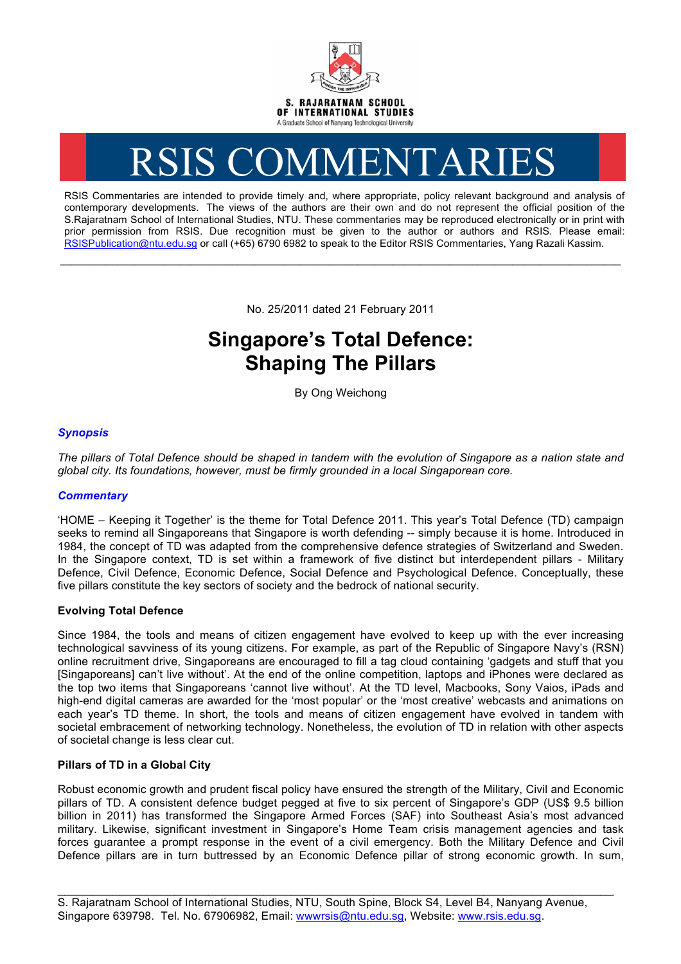

# RSIS COMMENTARIES

RSIS Commentaries are intended to provide timely and, where appropriate, policy relevant background and analysis of contemporary developments. The views of the authors are their own and do not represent the official position of the S.Rajaratnam School of International Studies, NTU. These commentaries may be reproduced electronically or in print with prior permission from RSIS. Due recognition must be given to the author or authors and RSIS. Please email: RSISPublication@ntu.edu.sg or call (+65) 6790 6982 to speak to the Editor RSIS Commentaries, Yang Razali Kassim.

No. 25/2011 dated 21 February 2011

**\_\_\_\_\_\_\_\_\_\_\_\_\_\_\_\_\_\_\_\_\_\_\_\_\_\_\_\_\_\_\_\_\_\_\_\_\_\_\_\_\_\_\_\_\_\_\_\_\_\_\_\_\_\_\_\_\_\_\_\_\_\_\_\_\_\_\_\_\_\_\_\_\_\_\_\_\_\_\_\_\_\_\_\_\_\_\_\_\_\_\_\_\_\_\_\_\_\_**

## **Singapore's Total Defence: Shaping The Pillars**

By Ong Weichong

### *Synopsis*

*The pillars of Total Defence should be shaped in tandem with the evolution of Singapore as a nation state and global city. Its foundations, however, must be firmly grounded in a local Singaporean core.* 

#### *Commentary*

'HOME – Keeping it Together' is the theme for Total Defence 2011. This year's Total Defence (TD) campaign seeks to remind all Singaporeans that Singapore is worth defending -- simply because it is home. Introduced in 1984, the concept of TD was adapted from the comprehensive defence strategies of Switzerland and Sweden. In the Singapore context, TD is set within a framework of five distinct but interdependent pillars - Military Defence, Civil Defence, Economic Defence, Social Defence and Psychological Defence. Conceptually, these five pillars constitute the key sectors of society and the bedrock of national security.

#### **Evolving Total Defence**

Since 1984, the tools and means of citizen engagement have evolved to keep up with the ever increasing technological savviness of its young citizens. For example, as part of the Republic of Singapore Navy's (RSN) online recruitment drive, Singaporeans are encouraged to fill a tag cloud containing 'gadgets and stuff that you [Singaporeans] can't live without'. At the end of the online competition, laptops and iPhones were declared as the top two items that Singaporeans 'cannot live without'. At the TD level, Macbooks, Sony Vaios, iPads and high-end digital cameras are awarded for the 'most popular' or the 'most creative' webcasts and animations on each year's TD theme. In short, the tools and means of citizen engagement have evolved in tandem with societal embracement of networking technology. Nonetheless, the evolution of TD in relation with other aspects of societal change is less clear cut.

#### **Pillars of TD in a Global City**

Robust economic growth and prudent fiscal policy have ensured the strength of the Military, Civil and Economic pillars of TD. A consistent defence budget pegged at five to six percent of Singapore's GDP (US\$ 9.5 billion billion in 2011) has transformed the Singapore Armed Forces (SAF) into Southeast Asia's most advanced military. Likewise, significant investment in Singapore's Home Team crisis management agencies and task forces guarantee a prompt response in the event of a civil emergency. Both the Military Defence and Civil Defence pillars are in turn buttressed by an Economic Defence pillar of strong economic growth. In sum,

\_\_\_\_\_\_\_\_\_\_\_\_\_\_\_\_\_\_\_\_\_\_\_\_\_\_\_\_\_\_\_\_\_\_\_\_\_\_\_\_\_\_\_\_\_\_\_\_\_\_\_\_\_\_\_\_\_\_\_\_\_\_\_\_\_\_\_\_\_\_\_\_\_\_\_\_\_\_\_\_\_